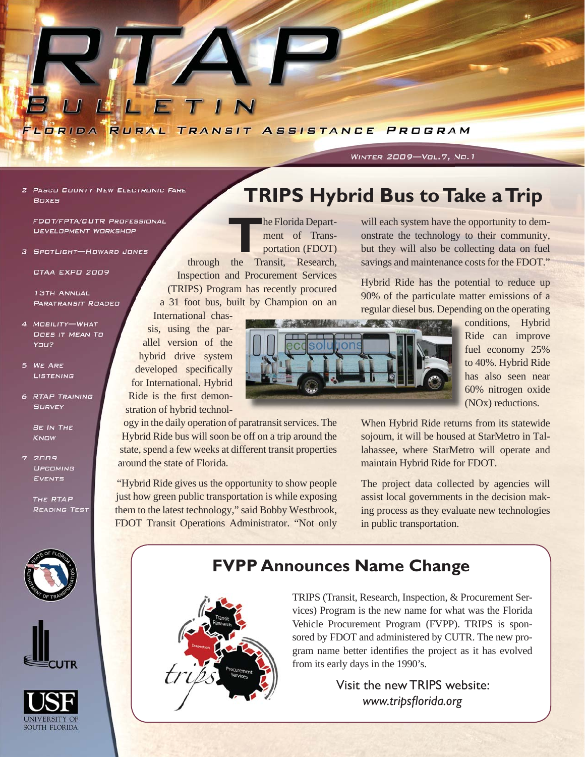

#### **WINTER 2009-Vol.7, No.1**

**2 PASCO COUNTY NEW ELECTRONIC FARE BOXES** 

**FDOT/FPTA/CUTR PROFESSIONAL** DEVELOPMENT WORKSHOP

3 SPOTLIGHT-HOWARD JONES

CTAA EXPO 2009

**13TH ANNUAL PARATRANSIT ROADED** 

- 4 MOBILITY-WHAT DOES IT MEAN TO YOU?
- 5 WE ARE LISTENING
- **6 RTAP TRAINING SURVEY**

**BE IN THE KNOW** 

 $7.2009$ LIPCOMING **EVENTS** 

> THE RTAP **READING TEST**







# **TRIPS Hybrid Bus to Take a Trip**

**The Florida Depart-**<br> **The Francisc Property**<br> **Trancisc Property**<br> **Trancisc Property** ment of Transportation (FDOT)

through the Transit, Research, Inspection and Procurement Services (TRIPS) Program has recently procured a 31 foot bus, built by Champion on an

International chassis, using the parallel version of the hybrid drive system developed specifically for International. Hybrid Ride is the first demonstration of hybrid technol-

ogy in the daily operation of paratransit services. The Hybrid Ride bus will soon be off on a trip around the state, spend a few weeks at different transit properties around the state of Florida.

"Hybrid Ride gives us the opportunity to show people just how green public transportation is while exposing them to the latest technology," said Bobby Westbrook, FDOT Transit Operations Administrator. "Not only

will each system have the opportunity to demonstrate the technology to their community, but they will also be collecting data on fuel savings and maintenance costs for the FDOT."

Hybrid Ride has the potential to reduce up 90% of the particulate matter emissions of a regular diesel bus. Depending on the operating



conditions, Hybrid Ride can improve fuel economy 25% to 40%. Hybrid Ride has also seen near 60% nitrogen oxide (NOx) reductions.

When Hybrid Ride returns from its statewide sojourn, it will be housed at StarMetro in Tallahassee, where StarMetro will operate and maintain Hybrid Ride for FDOT.

The project data collected by agencies will assist local governments in the decision making process as they evaluate new technologies in public transportation.

## **FVPP Announces Name Change**

from its early days in the 1990's.



TRIPS (Transit, Research, Inspection, & Procurement Services) Program is the new name for what was the Florida Vehicle Procurement Program (FVPP). TRIPS is sponsored by FDOT and administered by CUTR. The new program name better identifies the project as it has evolved

> Visit the new TRIPS website: www.tripsflorida.org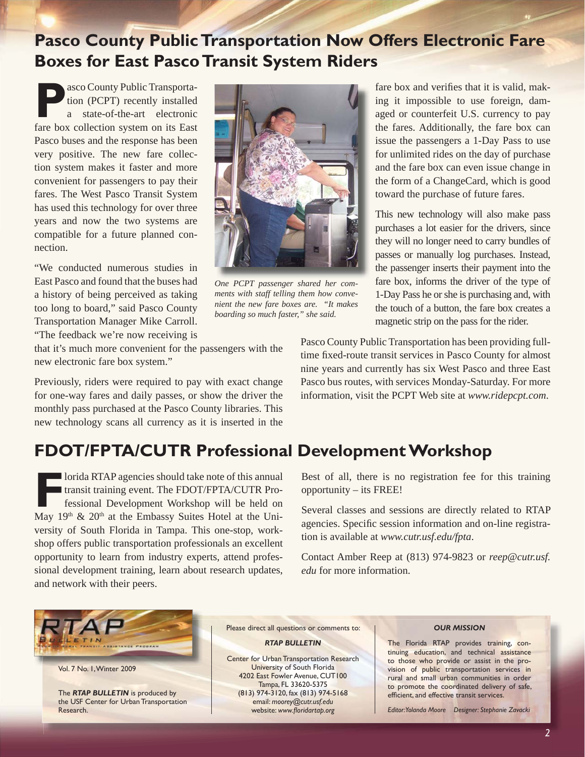## **Pasco County Public Transportation Now Offers Electronic Fare Boxes for East Pasco Transit System Riders**

**P**asco County Public Transportation (PCPT) recently installed a state-of-the-art electronic fare box collection system on its East Pasco buses and the response has been very positive. The new fare collection system makes it faster and more convenient for passengers to pay their fares. The West Pasco Transit System has used this technology for over three years and now the two systems are compatible for a future planned connection.

"We conducted numerous studies in East Pasco and found that the buses had a history of being perceived as taking too long to board," said Pasco County Transportation Manager Mike Carroll. "The feedback we're now receiving is



*One PCPT passenger shared her comments with staff telling them how convenient the new fare boxes are. "It makes boarding so much faster," she said.*

fare box and verifies that it is valid, making it impossible to use foreign, damaged or counterfeit U.S. currency to pay the fares. Additionally, the fare box can issue the passengers a 1-Day Pass to use for unlimited rides on the day of purchase and the fare box can even issue change in the form of a ChangeCard, which is good toward the purchase of future fares.

This new technology will also make pass purchases a lot easier for the drivers, since they will no longer need to carry bundles of passes or manually log purchases. Instead, the passenger inserts their payment into the fare box, informs the driver of the type of 1-Day Pass he or she is purchasing and, with the touch of a button, the fare box creates a magnetic strip on the pass for the rider.

that it's much more convenient for the passengers with the new electronic fare box system."

Previously, riders were required to pay with exact change for one-way fares and daily passes, or show the driver the monthly pass purchased at the Pasco County libraries. This new technology scans all currency as it is inserted in the

Pasco County Public Transportation has been providing fulltime fixed-route transit services in Pasco County for almost nine years and currently has six West Pasco and three East Pasco bus routes, with services Monday-Saturday. For more information, visit the PCPT Web site at *[www.ridepcpt.com](http://www.ridepcpt.com)*.

## **FDOT/FPTA/CUTR Professional Development Workshop**

**FRIAP agencies should take note of this annual transit training event. The FDOT/FPTA/CUTR Professional Development Workshop will be held on May 10th**  $\ell$ **: 20th of the Embaggy Suites Hotel at the Uni** transit training event. The FDOT/FPTA/CUTR Professional Development Workshop will be held on May  $19<sup>th</sup>$  &  $20<sup>th</sup>$  at the Embassy Suites Hotel at the University of South Florida in Tampa. This one-stop, workshop offers public transportation professionals an excellent opportunity to learn from industry experts, attend professional development training, learn about research updates, and network with their peers.

Best of all, there is no registration fee for this training opportunity – its FREE!

Several classes and sessions are directly related to RTAP agencies. Specific session information and on-line registration is available at *[www.cutr.usf.edu/fpta](http://www.cutr.usf.edu/fpta/)*.

Contact Amber Reep at (813) 974-9823 or *[reep@cutr.usf.](mailto:reep@cutr.usf.edu) [edu](mailto:reep@cutr.usf.edu)* for more information.



Vol. 7 No. 1, Winter 2009

The *RTAP BULLETIN* is produced by the USF Center for Urban Transportation Research.

Please direct all questions or comments to:

#### *RTAP BULLETIN*

Center for Urban Transportation Research University of South Florida 4202 East Fowler Avenue, CUT100 Tampa, FL 33620-5375 (813) 974-3120, fax (813) 974-5168 email: *[moorey@cutr.usf.edu](mailto:moorey@cutr.usf.edu)* website: www.floridartap.org

#### *OUR MISSION*

The Florida RTAP provides training, continuing education, and technical assistance to those who provide or assist in the provision of public transportation services in rural and small urban communities in order to promote the coordinated delivery of safe, efficient, and effective transit services.

*Editor: Yolanda Moore Designer: Stephanie Zavacki*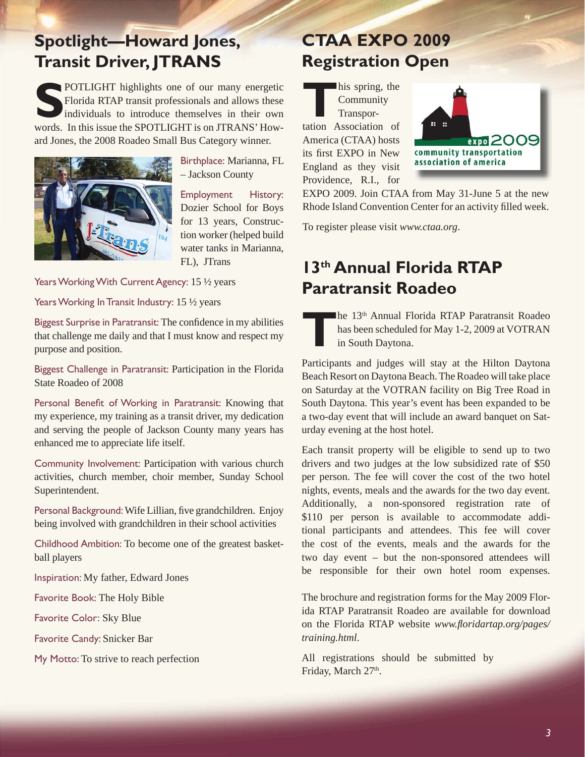## **Spotlight—Howard Jones, Transit Driver, JTRANS**

**SPOTLIGHT** highlights one of our many energetic Florida RTAP transit professionals and allows these individuals to introduce themselves in their own words. In this issue the SPOTLIGHT is on JTRANS' Howard Jones, the 2008 Roadeo Small Bus Category winner.



Birthplace: Marianna, FL – Jackson County

Employment History: Dozier School for Boys for 13 years, Construction worker (helped build water tanks in Marianna, FL), JTrans

Years Working With Current Agency: 15 1/2 years

Years Working In Transit Industry: 15 1/2 years

Biggest Surprise in Paratransit: The confidence in my abilities that challenge me daily and that I must know and respect my purpose and position.

Biggest Challenge in Paratransit: Participation in the Florida State Roadeo of 2008

Personal Benefit of Working in Paratransit: Knowing that my experience, my training as a transit driver, my dedication and serving the people of Jackson County many years has enhanced me to appreciate life itself.

Community Involvement: Participation with various church activities, church member, choir member, Sunday School Superintendent.

Personal Background: Wife Lillian, five grandchildren. Enjoy being involved with grandchildren in their school activities

Childhood Ambition: To become one of the greatest basketball players

Inspiration: My father, Edward Jones

Favorite Book: The Holy Bible

Favorite Color: Sky Blue

Favorite Candy: Snicker Bar

My Motto: To strive to reach perfection

# **CTAA EXPO 2009 Registration Open**

**T**his spring, the Community Transportation Association of America (CTAA) hosts its first EXPO in New England as they visit Providence, R.I., for



EXPO 2009. Join CTAA from May 31-June 5 at the new Rhode Island Convention Center for an activity filled week.

To register please visit *[www.ctaa.org](http://web1.ctaa.org/webmodules/webarticles/anmviewer.asp?a=922&z=37)*.

## **13th Annual Florida RTAP Paratransit Roadeo**

**The 13th Annual Florida RTAP Paratransit Roadeo** has been scheduled for May 1-2, 2009 at VOTRAN in South Daytona.

Participants and judges will stay at the Hilton Daytona Beach Resort on Daytona Beach. The Roadeo will take place on Saturday at the VOTRAN facility on Big Tree Road in South Daytona. This year's event has been expanded to be a two-day event that will include an award banquet on Saturday evening at the host hotel.

Each transit property will be eligible to send up to two drivers and two judges at the low subsidized rate of \$50 per person. The fee will cover the cost of the two hotel nights, events, meals and the awards for the two day event. Additionally, a non-sponsored registration rate of \$110 per person is available to accommodate additional participants and attendees. This fee will cover the cost of the events, meals and the awards for the two day event – but the non-sponsored attendees will be responsible for their own hotel room expenses.

The brochure and registration forms for the May 2009 Florida RTAP Paratransit Roadeo are available for download on the Florida RTAP website *www.fl [oridartap.org/pages/](http://www.floridartap.org/pages/training.html) [training.html](http://www.floridartap.org/pages/training.html)*.

All registrations should be submitted by Friday, March 27th.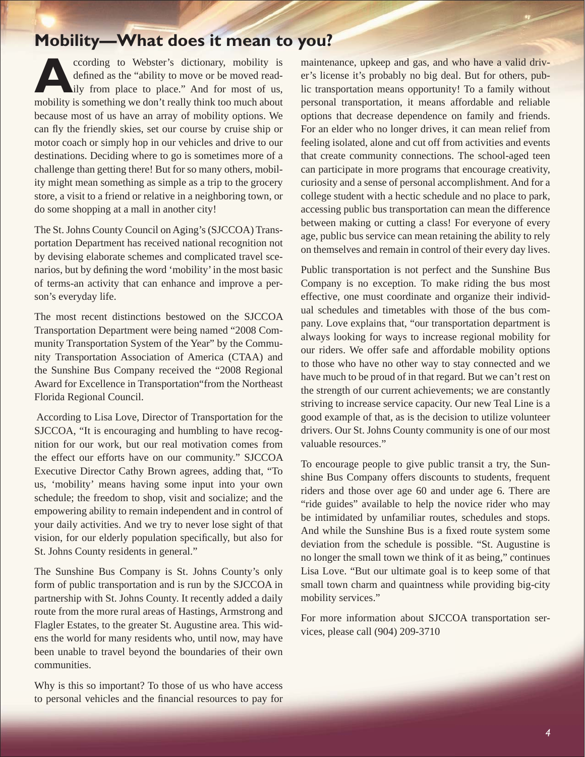## **Mobility—What does it mean to you?**

**A**ccording to Webster's dictionary, mobility is defined as the "ability to move or be moved readily from place to place." And for most of us, mobility is something we don't really think too much about because most of us have an array of mobility options. We can fly the friendly skies, set our course by cruise ship or motor coach or simply hop in our vehicles and drive to our destinations. Deciding where to go is sometimes more of a challenge than getting there! But for so many others, mobility might mean something as simple as a trip to the grocery store, a visit to a friend or relative in a neighboring town, or do some shopping at a mall in another city!

The St. Johns County Council on Aging's (SJCCOA) Transportation Department has received national recognition not by devising elaborate schemes and complicated travel scenarios, but by defining the word 'mobility' in the most basic of terms-an activity that can enhance and improve a person's everyday life.

The most recent distinctions bestowed on the SJCCOA Transportation Department were being named "2008 Community Transportation System of the Year" by the Community Transportation Association of America (CTAA) and the Sunshine Bus Company received the "2008 Regional Award for Excellence in Transportation"from the Northeast Florida Regional Council.

 According to Lisa Love, Director of Transportation for the SJCCOA, "It is encouraging and humbling to have recognition for our work, but our real motivation comes from the effect our efforts have on our community." SJCCOA Executive Director Cathy Brown agrees, adding that, "To us, 'mobility' means having some input into your own schedule; the freedom to shop, visit and socialize; and the empowering ability to remain independent and in control of your daily activities. And we try to never lose sight of that vision, for our elderly population specifically, but also for St. Johns County residents in general."

The Sunshine Bus Company is St. Johns County's only form of public transportation and is run by the SJCCOA in partnership with St. Johns County. It recently added a daily route from the more rural areas of Hastings, Armstrong and Flagler Estates, to the greater St. Augustine area. This widens the world for many residents who, until now, may have been unable to travel beyond the boundaries of their own communities.

Why is this so important? To those of us who have access to personal vehicles and the financial resources to pay for maintenance, upkeep and gas, and who have a valid driver's license it's probably no big deal. But for others, public transportation means opportunity! To a family without personal transportation, it means affordable and reliable options that decrease dependence on family and friends. For an elder who no longer drives, it can mean relief from feeling isolated, alone and cut off from activities and events that create community connections. The school-aged teen can participate in more programs that encourage creativity, curiosity and a sense of personal accomplishment. And for a college student with a hectic schedule and no place to park, accessing public bus transportation can mean the difference between making or cutting a class! For everyone of every age, public bus service can mean retaining the ability to rely on themselves and remain in control of their every day lives.

Public transportation is not perfect and the Sunshine Bus Company is no exception. To make riding the bus most effective, one must coordinate and organize their individual schedules and timetables with those of the bus company. Love explains that, "our transportation department is always looking for ways to increase regional mobility for our riders. We offer safe and affordable mobility options to those who have no other way to stay connected and we have much to be proud of in that regard. But we can't rest on the strength of our current achievements; we are constantly striving to increase service capacity. Our new Teal Line is a good example of that, as is the decision to utilize volunteer drivers. Our St. Johns County community is one of our most valuable resources."

To encourage people to give public transit a try, the Sunshine Bus Company offers discounts to students, frequent riders and those over age 60 and under age 6. There are "ride guides" available to help the novice rider who may be intimidated by unfamiliar routes, schedules and stops. And while the Sunshine Bus is a fixed route system some deviation from the schedule is possible. "St. Augustine is no longer the small town we think of it as being," continues Lisa Love. "But our ultimate goal is to keep some of that small town charm and quaintness while providing big-city mobility services."

For more information about SJCCOA transportation services, please call (904) 209-3710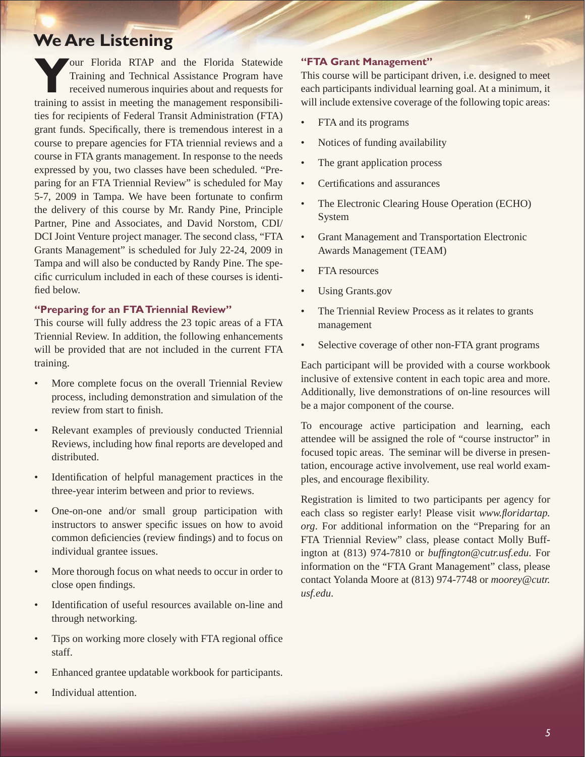### **We Are Listening**

**Y**our Florida RTAP and the Florida Statewide Training and Technical Assistance Program have received numerous inquiries about and requests for training to assist in meeting the management responsibilities for recipients of Federal Transit Administration (FTA) grant funds. Specifically, there is tremendous interest in a course to prepare agencies for FTA triennial reviews and a course in FTA grants management. In response to the needs expressed by you, two classes have been scheduled. "Preparing for an FTA Triennial Review" is scheduled for May 5-7, 2009 in Tampa. We have been fortunate to confirm the delivery of this course by Mr. Randy Pine, Principle Partner, Pine and Associates, and David Norstom, CDI/ DCI Joint Venture project manager. The second class, "FTA Grants Management" is scheduled for July 22-24, 2009 in Tampa and will also be conducted by Randy Pine. The specific curriculum included in each of these courses is identified below.

#### **"Preparing for an FTA Triennial Review"**

This course will fully address the 23 topic areas of a FTA Triennial Review. In addition, the following enhancements will be provided that are not included in the current FTA training.

- More complete focus on the overall Triennial Review process, including demonstration and simulation of the review from start to finish.
- Relevant examples of previously conducted Triennial Reviews, including how final reports are developed and distributed.
- Identification of helpful management practices in the three-year interim between and prior to reviews.
- One-on-one and/or small group participation with instructors to answer specific issues on how to avoid common deficiencies (review findings) and to focus on individual grantee issues.
- More thorough focus on what needs to occur in order to close open findings.
- Identification of useful resources available on-line and through networking.
- Tips on working more closely with FTA regional office staff.
- Enhanced grantee updatable workbook for participants.
- Individual attention.

#### **"FTA Grant Management"**

This course will be participant driven, i.e. designed to meet each participants individual learning goal. At a minimum, it will include extensive coverage of the following topic areas:

- FTA and its programs
- Notices of funding availability
- The grant application process
- Certifications and assurances
- The Electronic Clearing House Operation (ECHO) System
- Grant Management and Transportation Electronic Awards Management (TEAM)
- FTA resources
- Using Grants.gov
- The Triennial Review Process as it relates to grants management
- Selective coverage of other non-FTA grant programs

Each participant will be provided with a course workbook inclusive of extensive content in each topic area and more. Additionally, live demonstrations of on-line resources will be a major component of the course.

To encourage active participation and learning, each attendee will be assigned the role of "course instructor" in focused topic areas. The seminar will be diverse in presentation, encourage active involvement, use real world examples, and encourage flexibility.

Registration is limited to two participants per agency for each class so register early! Please visit *www.floridartap. [org](http://www.floridartap.org)*. For additional information on the "Preparing for an FTA Triennial Review" class, please contact Molly Buffington at (813) 974-7810 or *buffi [ngton@cutr.usf.edu](mailto:buffington@cutr.usf.edu)*. For information on the "FTA Grant Management" class, please contact Yolanda Moore at (813) 974-7748 or *[moorey@cutr.](mailto:moorey@cutr.usf.edu) [usf.edu](mailto:moorey@cutr.usf.edu)*.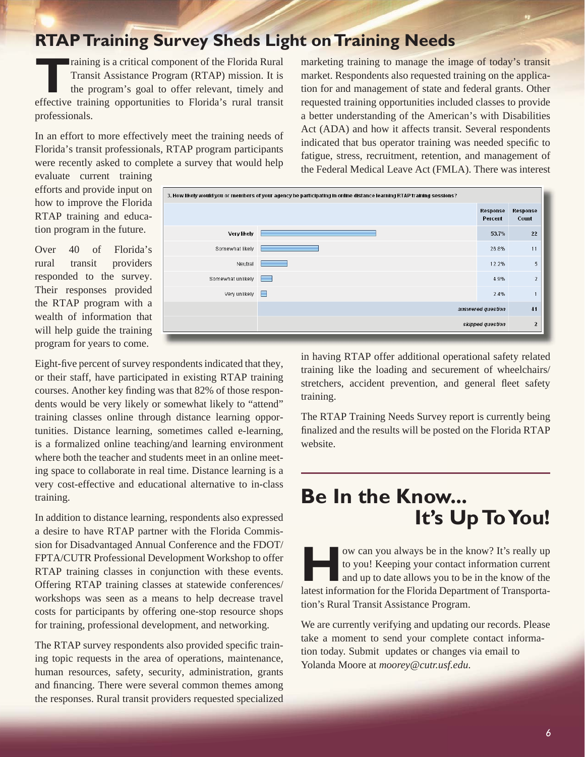## **RTAP Training Survey Sheds Light on Training Needs**

Training is a critical component of the Florida Rural<br>Transit Assistance Program (RTAP) mission. It is<br>the program's goal to offer relevant, timely and<br>offective training enpertualities to Florida's rural transit Transit Assistance Program (RTAP) mission. It is the program's goal to offer relevant, timely and effective training opportunities to Florida's rural transit professionals.

In an effort to more effectively meet the training needs of Florida's transit professionals, RTAP program participants were recently asked to complete a survey that would help

marketing training to manage the image of today's transit market. Respondents also requested training on the application for and management of state and federal grants. Other requested training opportunities included classes to provide a better understanding of the American's with Disabilities Act (ADA) and how it affects transit. Several respondents indicated that bus operator training was needed specific to fatigue, stress, recruitment, retention, and management of the Federal Medical Leave Act (FMLA). There was interest

evaluate current training efforts and provide input on how to improve the Florida RTAP training and education program in the future.

Over 40 of Florida's rural transit providers responded to the survey. Their responses provided the RTAP program with a wealth of information that will help guide the training program for years to come.

Eight-five percent of survey respondents indicated that they, or their staff, have participated in existing RTAP training courses. Another key finding was that 82% of those respondents would be very likely or somewhat likely to "attend" training classes online through distance learning opportunities. Distance learning, sometimes called e-learning, is a formalized online teaching/and learning environment where both the teacher and students meet in an online meeting space to collaborate in real time. Distance learning is a very cost-effective and educational alternative to in-class training.

In addition to distance learning, respondents also expressed a desire to have RTAP partner with the Florida Commission for Disadvantaged Annual Conference and the FDOT/ FPTA/CUTR Professional Development Workshop to offer RTAP training classes in conjunction with these events. Offering RTAP training classes at statewide conferences/ workshops was seen as a means to help decrease travel costs for participants by offering one-stop resource shops for training, professional development, and networking.

The RTAP survey respondents also provided specific training topic requests in the area of operations, maintenance, human resources, safety, security, administration, grants and financing. There were several common themes among the responses. Rural transit providers requested specialized The RTAP Training Needs Survey report is currently being finalized and the results will be posted on the Florida RTAP website.

# **Be In the Know... It's Up To You!**

**How can you always be in the know? It's really up<br>to you! Keeping your contact information current<br>and up to date allows you to be in the know of the<br>latest information for the Elevide Denertment of Trensports.** to you! Keeping your contact information current and up to date allows you to be in the know of the latest information for the Florida Department of Transportation's Rural Transit Assistance Program.

We are currently verifying and updating our records. Please take a moment to send your complete contact information today. Submit updates or changes via email to Yolanda Moore at *[moorey@cutr.usf.edu](mailto:moorey@cutr.usf.edu)*.

in having RTAP offer additional operational safety related training like the loading and securement of wheelchairs/ stretchers, accident prevention, and general fleet safety training.